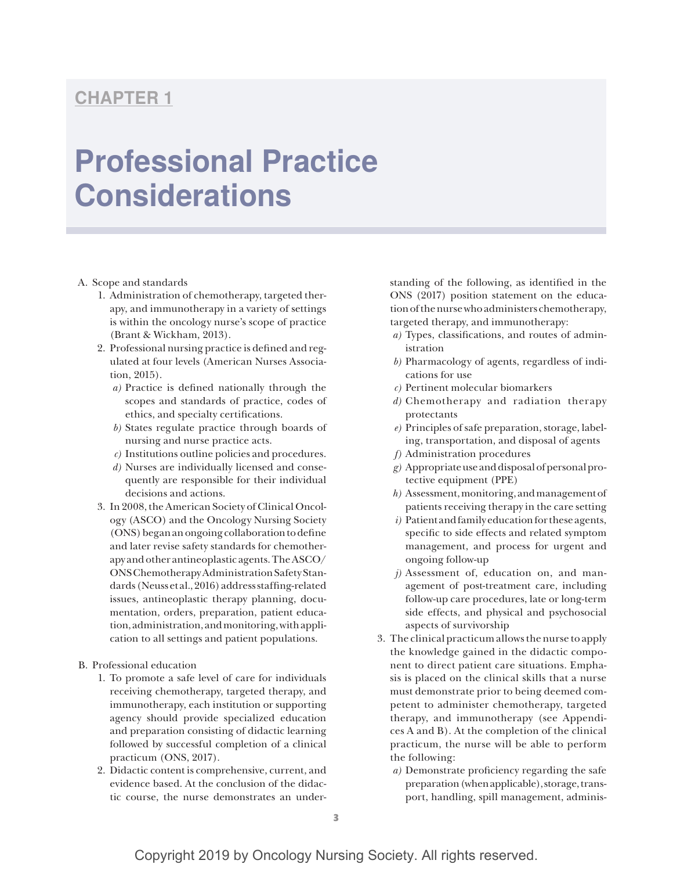# **CHAPTER 1**

# **Professional Practice Considerations**

## A. Scope and standards

- 1. Administration of chemotherapy, targeted therapy, and immunotherapy in a variety of settings is within the oncology nurse's scope of practice (Brant & Wickham, 2013).
- 2. Professional nursing practice is defined and regulated at four levels (American Nurses Association, 2015).
	- *a)* Practice is defined nationally through the scopes and standards of practice, codes of ethics, and specialty certifications.
	- *b)* States regulate practice through boards of nursing and nurse practice acts.
	- *c)* Institutions outline policies and procedures.
	- *d)* Nurses are individually licensed and consequently are responsible for their individual decisions and actions.
- 3. In 2008, the American Society of Clinical Oncology (ASCO) and the Oncology Nursing Society (ONS) began an ongoing collaboration to define and later revise safety standards for chemotherapy and other antineoplastic agents. The ASCO/ ONS Chemotherapy Administration Safety Standards (Neuss et al., 2016) address staffing-related issues, antineoplastic therapy planning, documentation, orders, preparation, patient education, administration, and monitoring, with application to all settings and patient populations.
- B. Professional education
	- 1. To promote a safe level of care for individuals receiving chemotherapy, targeted therapy, and immunotherapy, each institution or supporting agency should provide specialized education and preparation consisting of didactic learning followed by successful completion of a clinical practicum (ONS, 2017).
	- 2. Didactic content is comprehensive, current, and evidence based. At the conclusion of the didactic course, the nurse demonstrates an under-

standing of the following, as identified in the ONS (2017) position statement on the education of the nurse who administers chemotherapy, targeted therapy, and immunotherapy:

- *a)* Types, classifications, and routes of administration
- *b)* Pharmacology of agents, regardless of indications for use
- *c)* Pertinent molecular biomarkers
- *d)* Chemotherapy and radiation therapy protectants
- *e)* Principles of safe preparation, storage, labeling, transportation, and disposal of agents
- *f)* Administration procedures
- *g)* Appropriate use and disposal of personal protective equipment (PPE)
- *h)* Assessment, monitoring, and management of patients receiving therapy in the care setting
- *i)* Patient and family education for these agents, specific to side effects and related symptom management, and process for urgent and ongoing follow-up
- *j)* Assessment of, education on, and management of post-treatment care, including follow-up care procedures, late or long-term side effects, and physical and psychosocial aspects of survivorship
- 3. The clinical practicum allows the nurse to apply the knowledge gained in the didactic component to direct patient care situations. Emphasis is placed on the clinical skills that a nurse must demonstrate prior to being deemed competent to administer chemotherapy, targeted therapy, and immunotherapy (see Appendices A and B). At the completion of the clinical practicum, the nurse will be able to perform the following:
	- *a)* Demonstrate proficiency regarding the safe preparation (when applicable), storage, transport, handling, spill management, adminis-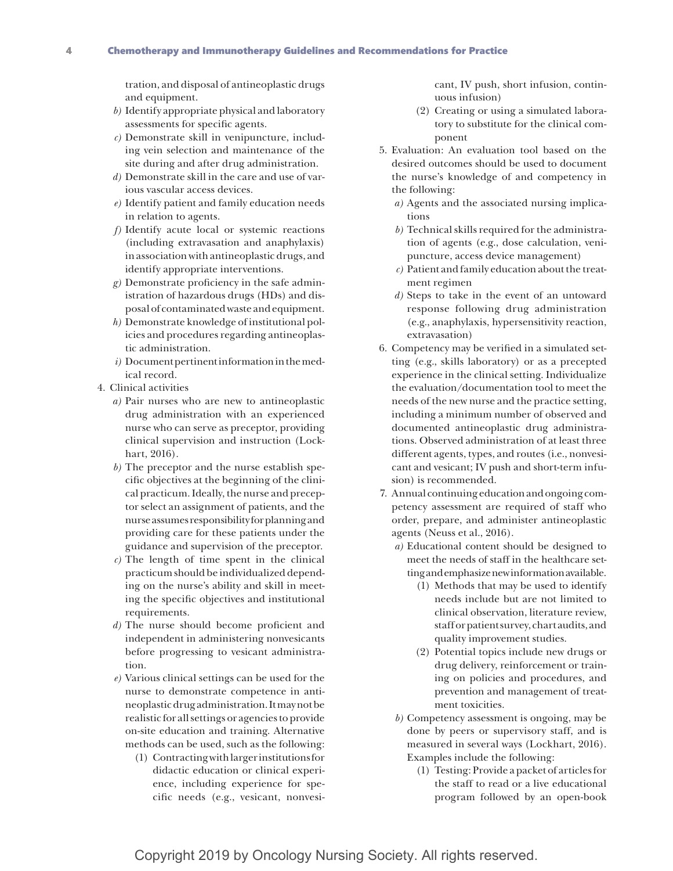tration, and disposal of antineoplastic drugs and equipment.

- *b)* Identify appropriate physical and laboratory assessments for specific agents.
- *c)* Demonstrate skill in venipuncture, including vein selection and maintenance of the site during and after drug administration.
- *d)* Demonstrate skill in the care and use of various vascular access devices.
- *e)* Identify patient and family education needs in relation to agents.
- *f)* Identify acute local or systemic reactions (including extravasation and anaphylaxis) in association with antineoplastic drugs, and identify appropriate interventions.
- *g)* Demonstrate proficiency in the safe administration of hazardous drugs (HDs) and disposal of contaminated waste and equipment.
- *h)* Demonstrate knowledge of institutional policies and procedures regarding antineoplastic administration.
- *i)* Document pertinent information in the medical record.
- 4. Clinical activities
	- *a)* Pair nurses who are new to antineoplastic drug administration with an experienced nurse who can serve as preceptor, providing clinical supervision and instruction (Lockhart, 2016).
	- *b)* The preceptor and the nurse establish specific objectives at the beginning of the clinical practicum. Ideally, the nurse and preceptor select an assignment of patients, and the nurse assumes responsibility for planning and providing care for these patients under the guidance and supervision of the preceptor.
	- *c)* The length of time spent in the clinical practicum should be individualized depending on the nurse's ability and skill in meeting the specific objectives and institutional requirements.
	- *d)* The nurse should become proficient and independent in administering nonvesicants before progressing to vesicant administration.
	- *e)* Various clinical settings can be used for the nurse to demonstrate competence in antineoplastic drug administration. It may not be realistic for all settings or agencies to provide on-site education and training. Alternative methods can be used, such as the following:
		- (1) Contracting with larger institutions for didactic education or clinical experience, including experience for specific needs (e.g., vesicant, nonvesi-

cant, IV push, short infusion, continuous infusion)

- (2) Creating or using a simulated laboratory to substitute for the clinical component
- 5. Evaluation: An evaluation tool based on the desired outcomes should be used to document the nurse's knowledge of and competency in the following:
	- *a)* Agents and the associated nursing implications
	- *b)* Technical skills required for the administration of agents (e.g., dose calculation, venipuncture, access device management)
	- *c)* Patient and family education about the treatment regimen
	- *d)* Steps to take in the event of an untoward response following drug administration (e.g., anaphylaxis, hypersensitivity reaction, extravasation)
- 6. Competency may be verified in a simulated setting (e.g., skills laboratory) or as a precepted experience in the clinical setting. Individualize the evaluation/documentation tool to meet the needs of the new nurse and the practice setting, including a minimum number of observed and documented antineoplastic drug administrations. Observed administration of at least three different agents, types, and routes (i.e., nonvesicant and vesicant; IV push and short-term infusion) is recommended.
- 7. Annual continuing education and ongoing competency assessment are required of staff who order, prepare, and administer antineoplastic agents (Neuss et al., 2016).
	- *a)* Educational content should be designed to meet the needs of staff in the healthcare setting and emphasize new information available.
		- (1) Methods that may be used to identify needs include but are not limited to clinical observation, literature review, staff or patient survey, chart audits, and quality improvement studies.
		- (2) Potential topics include new drugs or drug delivery, reinforcement or training on policies and procedures, and prevention and management of treatment toxicities.
	- *b)* Competency assessment is ongoing, may be done by peers or supervisory staff, and is measured in several ways (Lockhart, 2016). Examples include the following:
		- (1) Testing: Provide a packet of articles for the staff to read or a live educational program followed by an open-book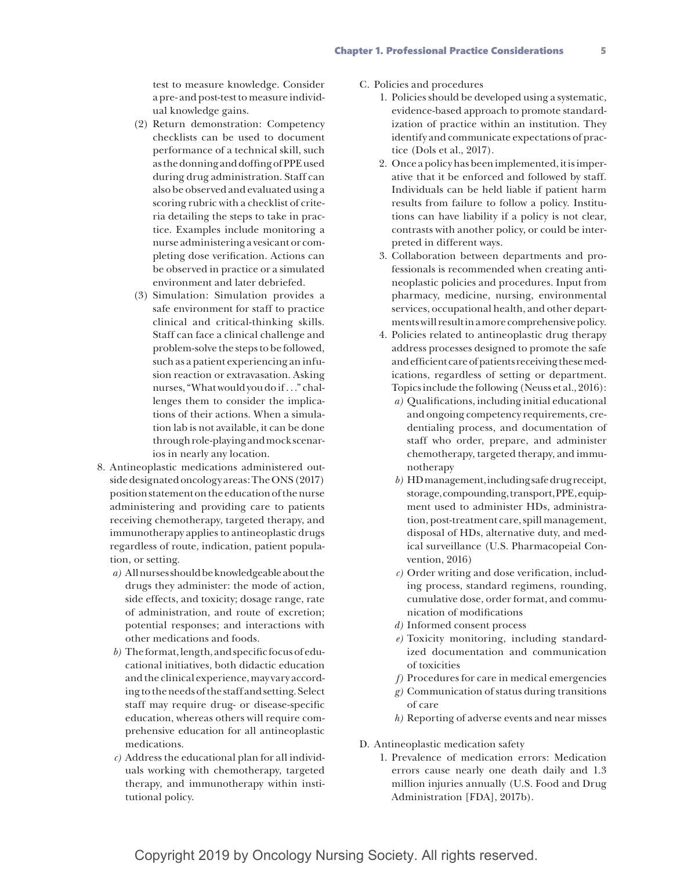test to measure knowledge. Consider a pre- and post-test to measure individual knowledge gains.

- (2) Return demonstration: Competency checklists can be used to document performance of a technical skill, such as the donning and doffing of PPE used during drug administration. Staff can also be observed and evaluated using a scoring rubric with a checklist of criteria detailing the steps to take in practice. Examples include monitoring a nurse administering a vesicant or completing dose verification. Actions can be observed in practice or a simulated environment and later debriefed.
- (3) Simulation: Simulation provides a safe environment for staff to practice clinical and critical-thinking skills. Staff can face a clinical challenge and problem-solve the steps to be followed, such as a patient experiencing an infusion reaction or extravasation. Asking nurses, "What would you do if. . ." challenges them to consider the implications of their actions. When a simulation lab is not available, it can be done through role-playing and mock scenarios in nearly any location.
- 8. Antineoplastic medications administered outside designated oncology areas: The ONS (2017) position statement on the education of the nurse administering and providing care to patients receiving chemotherapy, targeted therapy, and immunotherapy applies to antineoplastic drugs regardless of route, indication, patient population, or setting.
	- *a)* All nurses should be knowledgeable about the drugs they administer: the mode of action, side effects, and toxicity; dosage range, rate of administration, and route of excretion; potential responses; and interactions with other medications and foods.
	- *b)* The format, length, and specific focus of educational initiatives, both didactic education and the clinical experience, may vary according to the needs of the staff and setting. Select staff may require drug- or disease-specific education, whereas others will require comprehensive education for all antineoplastic medications.
	- *c)* Address the educational plan for all individuals working with chemotherapy, targeted therapy, and immunotherapy within institutional policy.
- C. Policies and procedures
	- 1. Policies should be developed using a systematic, evidence-based approach to promote standardization of practice within an institution. They identify and communicate expectations of practice (Dols et al., 2017).
	- 2. Once a policy has been implemented, it is imperative that it be enforced and followed by staff. Individuals can be held liable if patient harm results from failure to follow a policy. Institutions can have liability if a policy is not clear, contrasts with another policy, or could be interpreted in different ways.
	- 3. Collaboration between departments and professionals is recommended when creating antineoplastic policies and procedures. Input from pharmacy, medicine, nursing, environmental services, occupational health, and other departments will result in a more comprehensive policy.
	- 4. Policies related to antineoplastic drug therapy address processes designed to promote the safe and efficient care of patients receiving these medications, regardless of setting or department. Topics include the following (Neuss et al., 2016):
		- *a)* Qualifications, including initial educational and ongoing competency requirements, credentialing process, and documentation of staff who order, prepare, and administer chemotherapy, targeted therapy, and immunotherapy
		- *b)* HD management, including safe drug receipt, storage, compounding, transport, PPE, equipment used to administer HDs, administration, post-treatment care, spill management, disposal of HDs, alternative duty, and medical surveillance (U.S. Pharmacopeial Convention, 2016)
		- *c)* Order writing and dose verification, including process, standard regimens, rounding, cumulative dose, order format, and communication of modifications
		- *d)* Informed consent process
		- *e)* Toxicity monitoring, including standardized documentation and communication of toxicities
		- *f)* Procedures for care in medical emergencies
		- *g)* Communication of status during transitions of care
		- *h)* Reporting of adverse events and near misses
- D. Antineoplastic medication safety
	- 1. Prevalence of medication errors: Medication errors cause nearly one death daily and 1.3 million injuries annually (U.S. Food and Drug Administration [FDA], 2017b).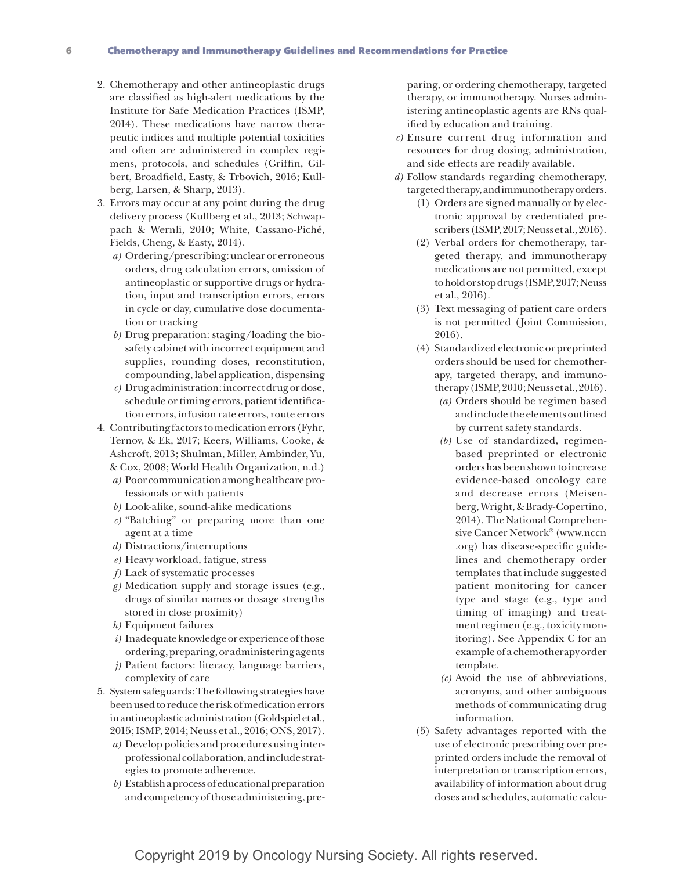### 6 Chemotherapy and Immunotherapy Guidelines and Recommendations for Practice

- 2. Chemotherapy and other antineoplastic drugs are classified as high-alert medications by the Institute for Safe Medication Practices (ISMP, 2014). These medications have narrow therapeutic indices and multiple potential toxicities and often are administered in complex regimens, protocols, and schedules (Griffin, Gilbert, Broadfield, Easty, & Trbovich, 2016; Kullberg, Larsen, & Sharp, 2013).
- 3. Errors may occur at any point during the drug delivery process (Kullberg et al., 2013; Schwappach & Wernli, 2010; White, Cassano-Piché, Fields, Cheng, & Easty, 2014).
	- *a)* Ordering/prescribing: unclear or erroneous orders, drug calculation errors, omission of antineoplastic or supportive drugs or hydration, input and transcription errors, errors in cycle or day, cumulative dose documentation or tracking
	- *b)* Drug preparation: staging/loading the biosafety cabinet with incorrect equipment and supplies, rounding doses, reconstitution, compounding, label application, dispensing
	- *c)* Drug administration: incorrect drug or dose, schedule or timing errors, patient identification errors, infusion rate errors, route errors
- 4. Contributing factors to medication errors (Fyhr, Ternov, & Ek, 2017; Keers, Williams, Cooke, & Ashcroft, 2013; Shulman, Miller, Ambinder, Yu, & Cox, 2008; World Health Organization, n.d.)
	- *a)* Poor communication among healthcare professionals or with patients
	- *b)* Look-alike, sound-alike medications
	- *c)* "Batching" or preparing more than one agent at a time
	- *d)* Distractions/interruptions
	- *e)* Heavy workload, fatigue, stress
	- *f)* Lack of systematic processes
	- *g)* Medication supply and storage issues (e.g., drugs of similar names or dosage strengths stored in close proximity)
	- *h)* Equipment failures
	- *i)* Inadequate knowledge or experience of those ordering, preparing, or administering agents
	- *j)* Patient factors: literacy, language barriers, complexity of care
- 5. System safeguards: The following strategies have been used to reduce the risk of medication errors in antineoplastic administration (Goldspiel et al., 2015; ISMP, 2014; Neuss et al., 2016; ONS, 2017).
	- *a)* Develop policies and procedures using interprofessional collaboration, and include strategies to promote adherence.
	- *b)* Establish a process of educational preparation and competency of those administering, pre-

paring, or ordering chemotherapy, targeted therapy, or immunotherapy. Nurses administering antineoplastic agents are RNs qualified by education and training.

- *c)* Ensure current drug information and resources for drug dosing, administration, and side effects are readily available.
- *d)* Follow standards regarding chemotherapy, targeted therapy, and immunotherapy orders.
	- (1) Orders are signed manually or by electronic approval by credentialed prescribers (ISMP, 2017; Neuss et al., 2016).
	- (2) Verbal orders for chemotherapy, targeted therapy, and immunotherapy medications are not permitted, except to hold or stop drugs (ISMP, 2017; Neuss et al., 2016).
	- (3) Text messaging of patient care orders is not permitted (Joint Commission, 2016).
	- (4) Standardized electronic or preprinted orders should be used for chemotherapy, targeted therapy, and immunotherapy (ISMP, 2010; Neuss et al., 2016).
		- *(a)* Orders should be regimen based and include the elements outlined by current safety standards.
		- *(b)* Use of standardized, regimenbased preprinted or electronic orders has been shown to increase evidence-based oncology care and decrease errors (Meisenberg, Wright, & Brady-Copertino, 2014). The National Comprehensive Cancer Network® (www.nccn .org) has disease-specific guidelines and chemotherapy order templates that include suggested patient monitoring for cancer type and stage (e.g., type and timing of imaging) and treatment regimen (e.g., toxicity monitoring). See Appendix C for an example of a chemotherapy order template.
		- *(c)* Avoid the use of abbreviations, acronyms, and other ambiguous methods of communicating drug information.
	- (5) Safety advantages reported with the use of electronic prescribing over preprinted orders include the removal of interpretation or transcription errors, availability of information about drug doses and schedules, automatic calcu-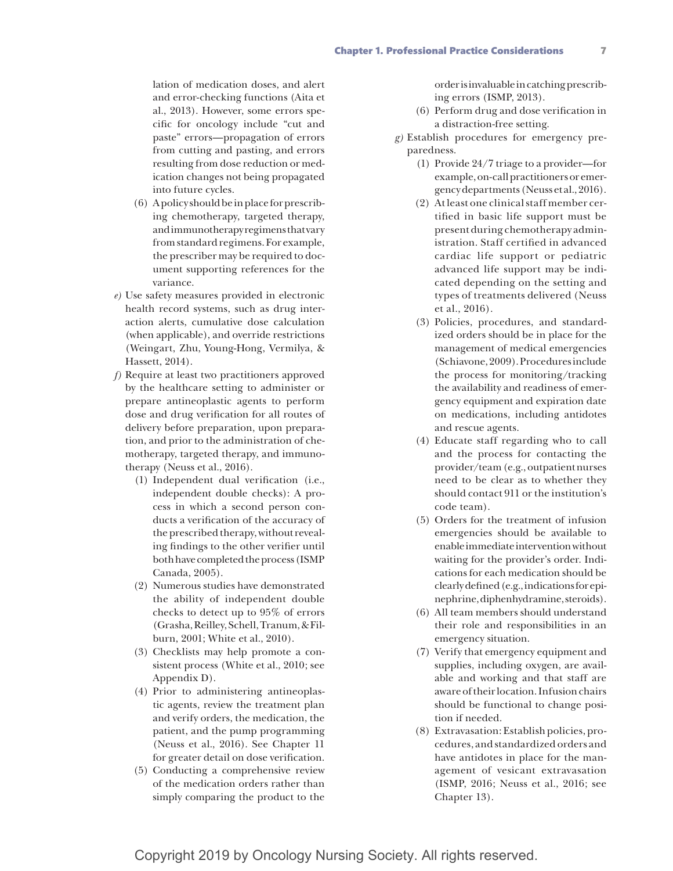lation of medication doses, and alert and error-checking functions (Aita et al., 2013). However, some errors specific for oncology include "cut and paste" errors—propagation of errors from cutting and pasting, and errors resulting from dose reduction or medication changes not being propagated into future cycles.

- (6) A policy should be in place for prescribing chemotherapy, targeted therapy, and immunotherapy regimens that vary from standard regimens. For example, the prescriber may be required to document supporting references for the variance.
- *e)* Use safety measures provided in electronic health record systems, such as drug interaction alerts, cumulative dose calculation (when applicable), and override restrictions (Weingart, Zhu, Young-Hong, Vermilya, & Hassett, 2014).
- *f)* Require at least two practitioners approved by the healthcare setting to administer or prepare antineoplastic agents to perform dose and drug verification for all routes of delivery before preparation, upon preparation, and prior to the administration of chemotherapy, targeted therapy, and immunotherapy (Neuss et al., 2016).
	- (1) Independent dual verification (i.e., independent double checks): A process in which a second person conducts a verification of the accuracy of the prescribed therapy, without revealing findings to the other verifier until both have completed the process (ISMP Canada, 2005).
	- (2) Numerous studies have demonstrated the ability of independent double checks to detect up to 95% of errors (Grasha, Reilley, Schell, Tranum, & Filburn, 2001; White et al., 2010).
	- (3) Checklists may help promote a consistent process (White et al., 2010; see Appendix D).
	- (4) Prior to administering antineoplastic agents, review the treatment plan and verify orders, the medication, the patient, and the pump programming (Neuss et al., 2016). See Chapter 11 for greater detail on dose verification.
	- (5) Conducting a comprehensive review of the medication orders rather than simply comparing the product to the

order is invaluable in catching prescribing errors (ISMP, 2013).

- (6) Perform drug and dose verification in a distraction-free setting.
- *g)* Establish procedures for emergency preparedness.
	- (1) Provide 24/7 triage to a provider—for example, on-call practitioners or emergency departments (Neuss et al., 2016).
	- (2) At least one clinical staff member certified in basic life support must be present during chemotherapy administration. Staff certified in advanced cardiac life support or pediatric advanced life support may be indicated depending on the setting and types of treatments delivered (Neuss et al., 2016).
	- (3) Policies, procedures, and standardized orders should be in place for the management of medical emergencies (Schiavone, 2009). Procedures include the process for monitoring/tracking the availability and readiness of emergency equipment and expiration date on medications, including antidotes and rescue agents.
	- (4) Educate staff regarding who to call and the process for contacting the provider/team (e.g., outpatient nurses need to be clear as to whether they should contact 911 or the institution's code team).
	- (5) Orders for the treatment of infusion emergencies should be available to enable immediate intervention without waiting for the provider's order. Indications for each medication should be clearly defined (e.g., indications for epinephrine, diphenhydramine, steroids).
	- (6) All team members should understand their role and responsibilities in an emergency situation.
	- (7) Verify that emergency equipment and supplies, including oxygen, are available and working and that staff are aware of their location. Infusion chairs should be functional to change position if needed.
	- (8) Extravasation: Establish policies, procedures, and standardized orders and have antidotes in place for the management of vesicant extravasation (ISMP, 2016; Neuss et al., 2016; see Chapter 13).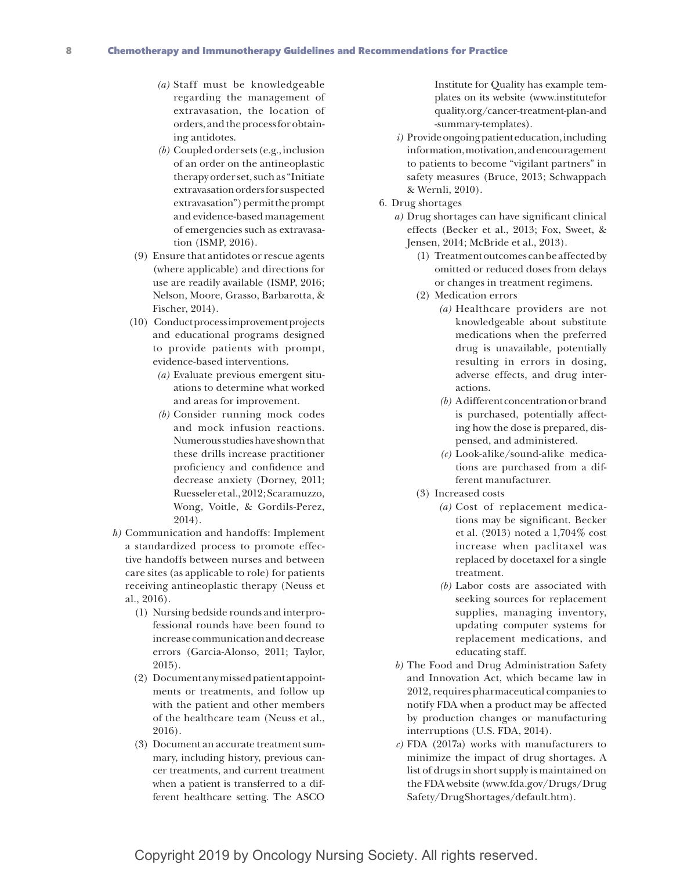- *(a)* Staff must be knowledgeable regarding the management of extravasation, the location of orders, and the process for obtaining antidotes.
- *(b)* Coupled order sets (e.g., inclusion of an order on the antineoplastic therapy order set, such as "Initiate extravasation orders for suspected extravasation") permit the prompt and evidence-based management of emergencies such as extravasation (ISMP, 2016).
- (9) Ensure that antidotes or rescue agents (where applicable) and directions for use are readily available (ISMP, 2016; Nelson, Moore, Grasso, Barbarotta, & Fischer, 2014).
- (10) Conduct process improvement projects and educational programs designed to provide patients with prompt, evidence-based interventions.
	- *(a)* Evaluate previous emergent situations to determine what worked and areas for improvement.
	- *(b)* Consider running mock codes and mock infusion reactions. Numerous studies have shown that these drills increase practitioner proficiency and confidence and decrease anxiety (Dorney, 2011; Ruesseler et al., 2012; Scaramuzzo, Wong, Voitle, & Gordils-Perez, 2014).
- *h)* Communication and handoffs: Implement a standardized process to promote effective handoffs between nurses and between care sites (as applicable to role) for patients receiving antineoplastic therapy (Neuss et al., 2016).
	- (1) Nursing bedside rounds and interprofessional rounds have been found to increase communication and decrease errors (Garcia-Alonso, 2011; Taylor, 2015).
	- (2) Document any missed patient appointments or treatments, and follow up with the patient and other members of the healthcare team (Neuss et al., 2016).
	- (3) Document an accurate treatment summary, including history, previous cancer treatments, and current treatment when a patient is transferred to a different healthcare setting. The ASCO

Institute for Quality has example templates on its website (www.institutefor quality.org/cancer-treatment-plan-and -summary-templates).

- *i)* Provide ongoing patient education, including information, motivation, and encouragement to patients to become "vigilant partners" in safety measures (Bruce, 2013; Schwappach & Wernli, 2010).
- 6. Drug shortages
	- *a)* Drug shortages can have significant clinical effects (Becker et al., 2013; Fox, Sweet, & Jensen, 2014; McBride et al., 2013).
		- (1) Treatment outcomes can be affected by omitted or reduced doses from delays or changes in treatment regimens.
		- (2) Medication errors
			- *(a)* Healthcare providers are not knowledgeable about substitute medications when the preferred drug is unavailable, potentially resulting in errors in dosing, adverse effects, and drug interactions.
			- *(b)* A different concentration or brand is purchased, potentially affecting how the dose is prepared, dispensed, and administered.
			- *(c)* Look-alike/sound-alike medications are purchased from a different manufacturer.
		- (3) Increased costs
			- *(a)* Cost of replacement medications may be significant. Becker et al. (2013) noted a 1,704% cost increase when paclitaxel was replaced by docetaxel for a single treatment.
			- *(b)* Labor costs are associated with seeking sources for replacement supplies, managing inventory, updating computer systems for replacement medications, and educating staff.
	- *b)* The Food and Drug Administration Safety and Innovation Act, which became law in 2012, requires pharmaceutical companies to notify FDA when a product may be affected by production changes or manufacturing interruptions (U.S. FDA, 2014).
	- *c)* FDA (2017a) works with manufacturers to minimize the impact of drug shortages. A list of drugs in short supply is maintained on the FDA website (www.fda.gov/Drugs/Drug Safety/DrugShortages/default.htm).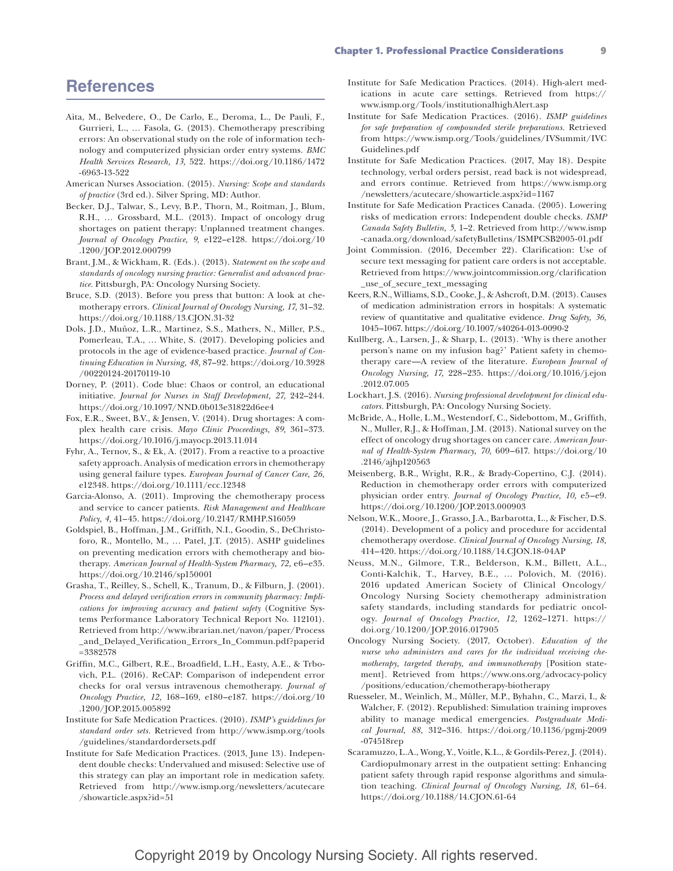#### Chapter 1. Professional Practice Considerations 9

## **References**

- Aita, M., Belvedere, O., De Carlo, E., Deroma, L., De Pauli, F., Gurrieri, L., … Fasola, G. (2013). Chemotherapy prescribing errors: An observational study on the role of information technology and computerized physician order entry systems. *BMC Health Services Research, 13,* 522. https://doi.org/10.1186/1472 -6963-13-522
- American Nurses Association. (2015). *Nursing: Scope and standards of practice* (3rd ed.). Silver Spring, MD: Author.
- Becker, D.J., Talwar, S., Levy, B.P., Thorn, M., Roitman, J., Blum, R.H., … Grossbard, M.L. (2013). Impact of oncology drug shortages on patient therapy: Unplanned treatment changes. *Journal of Oncology Practice, 9,* e122–e128. https://doi.org/10 .1200/JOP.2012.000799
- Brant, J.M., & Wickham, R. (Eds.). (2013). *Statement on the scope and standards of oncology nursing practice: Generalist and advanced practice.* Pittsburgh, PA: Oncology Nursing Society.
- Bruce, S.D. (2013). Before you press that button: A look at chemotherapy errors. *Clinical Journal of Oncology Nursing, 17,* 31–32. https://doi.org/10.1188/13.CJON.31-32
- Dols, J.D., Muñoz, L.R., Martinez, S.S., Mathers, N., Miller, P.S., Pomerleau, T.A., … White, S. (2017). Developing policies and protocols in the age of evidence-based practice. *Journal of Continuing Education in Nursing, 48,* 87–92. https://doi.org/10.3928 /00220124-20170119-10
- Dorney, P. (2011). Code blue: Chaos or control, an educational initiative. *Journal for Nurses in Staff Development, 27,* 242–244. https://doi.org/10.1097/NND.0b013e31822d6ee4
- Fox, E.R., Sweet, B.V., & Jensen, V. (2014). Drug shortages: A complex health care crisis. *Mayo Clinic Proceedings, 89,* 361–373. https://doi.org/10.1016/j.mayocp.2013.11.014
- Fyhr, A., Ternov, S., & Ek, A. (2017). From a reactive to a proactive safety approach. Analysis of medication errors in chemotherapy using general failure types. *European Journal of Cancer Care, 26,* e12348. https://doi.org/10.1111/ecc.12348
- Garcia-Alonso, A. (2011). Improving the chemotherapy process and service to cancer patients. *Risk Management and Healthcare Policy, 4,* 41–45. https://doi.org/10.2147/RMHP.S16059
- Goldspiel, B., Hoffman, J.M., Griffith, N.I., Goodin, S., DeChristoforo, R., Montello, M., … Patel, J.T. (2015). ASHP guidelines on preventing medication errors with chemotherapy and biotherapy. *American Journal of Health-System Pharmacy, 72,* e6–e35*.* https://doi.org/10.2146/sp150001
- Grasha, T., Reilley, S., Schell, K., Tranum, D., & Filburn, J. (2001). *Process and delayed verification errors in community pharmacy: Implications for improving accuracy and patient safety* (Cognitive Systems Performance Laboratory Technical Report No. 112101). Retrieved from http://www.ibrarian.net/navon/paper/Process \_and\_Delayed\_Verification\_Errors\_In\_Commun.pdf?paperid =3382578
- Griffin, M.C., Gilbert, R.E., Broadfield, L.H., Easty, A.E., & Trbovich, P.L. (2016). ReCAP: Comparison of independent error checks for oral versus intravenous chemotherapy. *Journal of Oncology Practice, 12,* 168–169, e180–e187. https://doi.org/10 .1200/JOP.2015.005892
- Institute for Safe Medication Practices. (2010). *ISMP's guidelines for standard order sets.* Retrieved from http://www.ismp.org/tools /guidelines/standardordersets.pdf
- Institute for Safe Medication Practices. (2013, June 13). Independent double checks: Undervalued and misused: Selective use of this strategy can play an important role in medication safety. Retrieved from http://www.ismp.org/newsletters/acutecare /showarticle.aspx?id=51
- Institute for Safe Medication Practices. (2014). High-alert medications in acute care settings. Retrieved from https:// www.ismp.org/Tools/institutionalhighAlert.asp
- Institute for Safe Medication Practices. (2016). *ISMP guidelines for safe preparation of compounded sterile preparations.* Retrieved from https://www.ismp.org/Tools/guidelines/IVSummit/IVC Guidelines.pdf
- Institute for Safe Medication Practices. (2017, May 18). Despite technology, verbal orders persist, read back is not widespread, and errors continue. Retrieved from https://www.ismp.org /newsletters/acutecare/showarticle.aspx?id=1167
- Institute for Safe Medication Practices Canada. (2005). Lowering risks of medication errors: Independent double checks. *ISMP Canada Safety Bulletin, 5,* 1–2. Retrieved from http://www.ismp -canada.org/download/safetyBulletins/ISMPCSB2005-01.pdf
- Joint Commission. (2016, December 22). Clarification: Use of secure text messaging for patient care orders is not acceptable. Retrieved from https://www.jointcommission.org/clarification \_use\_of\_secure\_text\_messaging
- Keers, R.N., Williams, S.D., Cooke, J., & Ashcroft, D.M. (2013). Causes of medication administration errors in hospitals: A systematic review of quantitative and qualitative evidence. *Drug Safety, 36,* 1045–1067. https://doi.org/10.1007/s40264-013-0090-2
- Kullberg, A., Larsen, J., & Sharp, L. (2013). 'Why is there another person's name on my infusion bag?' Patient safety in chemotherapy care—A review of the literature. *European Journal of Oncology Nursing, 17,* 228–235. https://doi.org/10.1016/j.ejon .2012.07.005
- Lockhart, J.S. (2016). *Nursing professional development for clinical educators.* Pittsburgh, PA: Oncology Nursing Society.
- McBride, A., Holle, L.M., Westendorf, C., Sidebottom, M., Griffith, N., Muller, R.J., & Hoffman, J.M. (2013). National survey on the effect of oncology drug shortages on cancer care. *American Journal of Health-System Pharmacy, 70,* 609–617. https://doi.org/10 .2146/ajhp120563
- Meisenberg, B.R., Wright, R.R., & Brady-Copertino, C.J. (2014). Reduction in chemotherapy order errors with computerized physician order entry. *Journal of Oncology Practice, 10,* e5–e9. https://doi.org/10.1200/JOP.2013.000903
- Nelson, W.K., Moore, J., Grasso, J.A., Barbarotta, L., & Fischer, D.S. (2014). Development of a policy and procedure for accidental chemotherapy overdose. *Clinical Journal of Oncology Nursing, 18,* 414–420. https://doi.org/10.1188/14.CJON.18-04AP
- Neuss, M.N., Gilmore, T.R., Belderson, K.M., Billett, A.L., Conti-Kalchik, T., Harvey, B.E., … Polovich, M. (2016). 2016 updated American Society of Clinical Oncology/ Oncology Nursing Society chemotherapy administration safety standards, including standards for pediatric oncology. *Journal of Oncology Practice, 12,* 1262–1271. https:// doi.org/10.1200/JOP.2016.017905
- Oncology Nursing Society. (2017, October). *Education of the nurse who administers and cares for the individual receiving chemotherapy, targeted therapy, and immunotherapy* [Position statement]. Retrieved from https://www.ons.org/advocacy-policy /positions/education/chemotherapy-biotherapy
- Ruesseler, M., Weinlich, M., Müller, M.P., Byhahn, C., Marzi, I., & Walcher, F. (2012). Republished: Simulation training improves ability to manage medical emergencies. *Postgraduate Medical Journal, 88,* 312–316. https://doi.org/10.1136/pgmj-2009 -074518rep
- Scaramuzzo, L.A., Wong, Y., Voitle, K.L., & Gordils-Perez, J. (2014). Cardiopulmonary arrest in the outpatient setting: Enhancing patient safety through rapid response algorithms and simulation teaching. *Clinical Journal of Oncology Nursing, 18,* 61–64. https://doi.org/10.1188/14.CJON.61-64